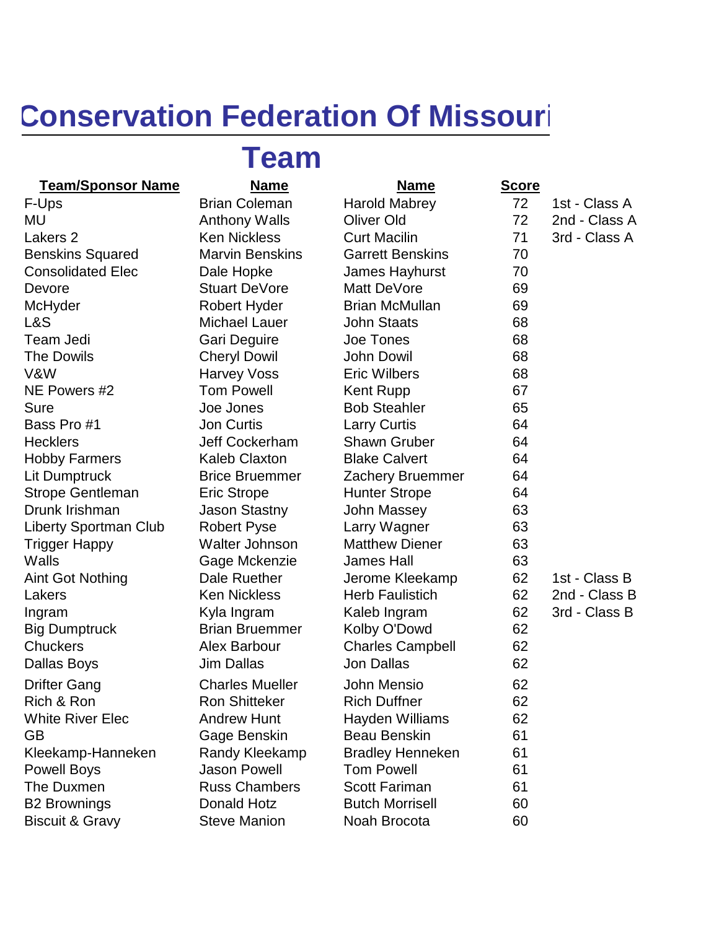## **Conservation Federation Of Missouri**

## **Team**

## **Team/Sponsor Name Name Name Score**

Benskins Squared Marvin Benskins Garrett Benskins Garrett Benskins Garrett Benskins Garrett Benskins Consolidated Elec Dale Hopke Jame Devore Stuart DeVore Matt McHyder **Robert Hyder** Brian L&S Michael Lauer John Team Jedi Gari Dequire Joe Tones 68 The Dowils **Cheryl Dowil** Gold John V&W Harvey Voss Eric N NE Powers #2 Tom Powell Kent Sure **Sure** Joe Jones Bob Bass Pro #1 Jon Curtis Larry Hecklers **Jeff Cockerham** Shav Hobby Farmers Kaleb Claxton Blake Lit Dumptruck Brice Bruemmer Zach Strope Gentleman Eric Strope 644 Drunk Irishman Jason Stastny John Liberty Sportman Club Robert Pyse Larry Trigger Happy Walter Johnson Matth Walls **Gage Mckenzie** Jame Big Dumptruck Brian Bruemmer Kolby Chuckers **Alex Barbour** Charl Dallas Boys Gordon Dallas Jon Dallas Company Jon Dallas And Dallas Jon Dallas And Dallas Jon Dallas D Drifter Gang Charles Mueller John Rich & Ron **Ron Shitteker** Rich Rich White River Elec **Andrew Hunt** Hayd GB Gage Benskin Beau Kleekamp-Hanneken Randy Kleekamp Bradl Powell Boys **Jason Powell** 61 Tom The Duxmen **Russ Chambers** Scott B2 Brownings **Donald Hotz** Butch Morrisell 60 Biscuit & Gravy **Steve Manion** Noah Brocota 60

| F-Ups                        | <b>Brian Coleman</b>   | <b>Harold Mabrey</b>    | 72 | 1st - Class A |
|------------------------------|------------------------|-------------------------|----|---------------|
| MU                           | <b>Anthony Walls</b>   | Oliver Old              | 72 | 2nd - Class A |
| Lakers 2                     | <b>Ken Nickless</b>    | <b>Curt Macilin</b>     | 71 | 3rd - Class A |
| <b>Benskins Squared</b>      | <b>Marvin Benskins</b> | <b>Garrett Benskins</b> | 70 |               |
| <b>Consolidated Elec</b>     | Dale Hopke             | James Hayhurst          | 70 |               |
| Devore                       | <b>Stuart DeVore</b>   | Matt DeVore             | 69 |               |
| McHyder                      | <b>Robert Hyder</b>    | <b>Brian McMullan</b>   | 69 |               |
| L&S                          | <b>Michael Lauer</b>   | <b>John Staats</b>      | 68 |               |
| Team Jedi                    | Gari Deguire           | Joe Tones               | 68 |               |
| <b>The Dowils</b>            | <b>Cheryl Dowil</b>    | <b>John Dowil</b>       | 68 |               |
| V&W                          | <b>Harvey Voss</b>     | <b>Eric Wilbers</b>     | 68 |               |
| NE Powers #2                 | <b>Tom Powell</b>      | <b>Kent Rupp</b>        | 67 |               |
| <b>Sure</b>                  | Joe Jones              | <b>Bob Steahler</b>     | 65 |               |
| Bass Pro #1                  | <b>Jon Curtis</b>      | <b>Larry Curtis</b>     | 64 |               |
| <b>Hecklers</b>              | <b>Jeff Cockerham</b>  | <b>Shawn Gruber</b>     | 64 |               |
| <b>Hobby Farmers</b>         | <b>Kaleb Claxton</b>   | <b>Blake Calvert</b>    | 64 |               |
| Lit Dumptruck                | <b>Brice Bruemmer</b>  | <b>Zachery Bruemmer</b> | 64 |               |
| <b>Strope Gentleman</b>      | <b>Eric Strope</b>     | <b>Hunter Strope</b>    | 64 |               |
| Drunk Irishman               | <b>Jason Stastny</b>   | John Massey             | 63 |               |
| <b>Liberty Sportman Club</b> | <b>Robert Pyse</b>     | Larry Wagner            | 63 |               |
| <b>Trigger Happy</b>         | Walter Johnson         | <b>Matthew Diener</b>   | 63 |               |
| Walls                        | Gage Mckenzie          | <b>James Hall</b>       | 63 |               |
| <b>Aint Got Nothing</b>      | Dale Ruether           | Jerome Kleekamp         | 62 | 1st - Class B |
| Lakers                       | <b>Ken Nickless</b>    | <b>Herb Faulistich</b>  | 62 | 2nd - Class B |
| Ingram                       | Kyla Ingram            | Kaleb Ingram            | 62 | 3rd - Class B |
| <b>Big Dumptruck</b>         | <b>Brian Bruemmer</b>  | Kolby O'Dowd            | 62 |               |
| <b>Chuckers</b>              | Alex Barbour           | <b>Charles Campbell</b> | 62 |               |
| Dallas Boys                  | <b>Jim Dallas</b>      | <b>Jon Dallas</b>       | 62 |               |
| <b>Drifter Gang</b>          | <b>Charles Mueller</b> | John Mensio             | 62 |               |
| Rich & Ron                   | <b>Ron Shitteker</b>   | <b>Rich Duffner</b>     | 62 |               |
| <b>White River Elec</b>      | <b>Andrew Hunt</b>     | Hayden Williams         | 62 |               |
| <b>GB</b>                    | Gage Benskin           | <b>Beau Benskin</b>     | 61 |               |
| Kleekamp-Hanneken            | Randy Kleekamp         | <b>Bradley Henneken</b> | 61 |               |
| <b>Powell Boys</b>           | <b>Jason Powell</b>    | <b>Tom Powell</b>       | 61 |               |
| The Duxmen                   | <b>Russ Chambers</b>   | <b>Scott Fariman</b>    | 61 |               |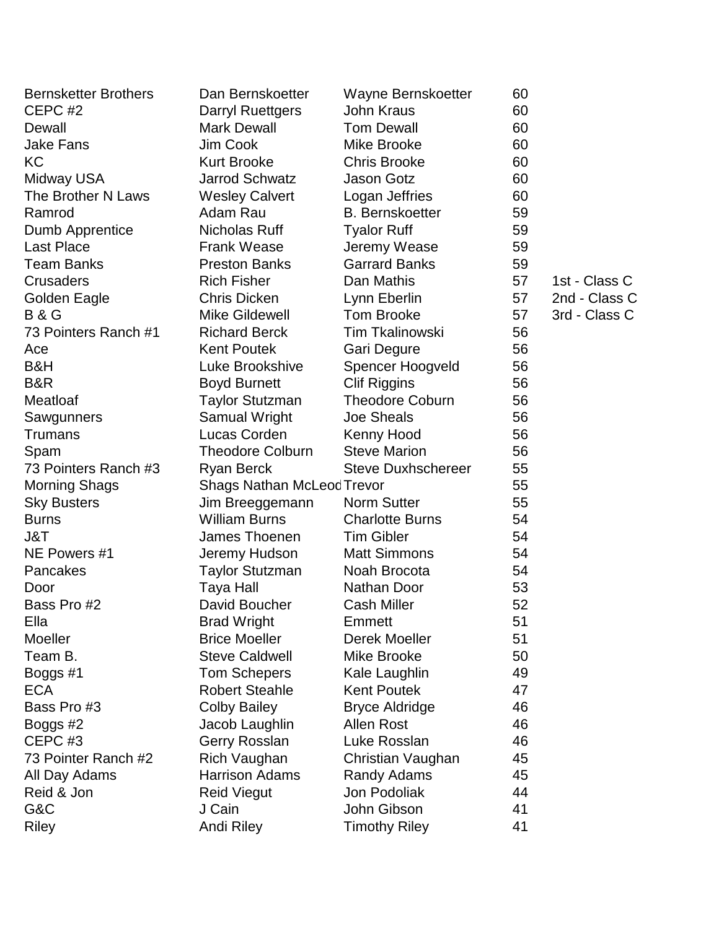| <b>Bernsketter Brothers</b> | Dan Bernskoetter                  | Wayne Bernskoetter        | 60 |               |
|-----------------------------|-----------------------------------|---------------------------|----|---------------|
| CEPC #2                     | <b>Darryl Ruettgers</b>           | John Kraus                | 60 |               |
| Dewall                      | <b>Mark Dewall</b>                | <b>Tom Dewall</b>         | 60 |               |
| <b>Jake Fans</b>            | Jim Cook                          | Mike Brooke               | 60 |               |
| KC                          | <b>Kurt Brooke</b>                | <b>Chris Brooke</b>       | 60 |               |
| Midway USA                  | <b>Jarrod Schwatz</b>             | Jason Gotz                | 60 |               |
| The Brother N Laws          | <b>Wesley Calvert</b>             | Logan Jeffries            | 60 |               |
| Ramrod                      | Adam Rau                          | <b>B.</b> Bernskoetter    | 59 |               |
| Dumb Apprentice             | Nicholas Ruff                     | <b>Tyalor Ruff</b>        | 59 |               |
| <b>Last Place</b>           | <b>Frank Wease</b>                | Jeremy Wease              | 59 |               |
| <b>Team Banks</b>           | <b>Preston Banks</b>              | <b>Garrard Banks</b>      | 59 |               |
| Crusaders                   | <b>Rich Fisher</b>                | Dan Mathis                | 57 | 1st - Class C |
| Golden Eagle                | <b>Chris Dicken</b>               | Lynn Eberlin              | 57 | 2nd - Class C |
| <b>B&amp;G</b>              | <b>Mike Gildewell</b>             | <b>Tom Brooke</b>         | 57 | 3rd - Class C |
| 73 Pointers Ranch #1        | <b>Richard Berck</b>              | <b>Tim Tkalinowski</b>    | 56 |               |
| Ace                         | <b>Kent Poutek</b>                | Gari Degure               | 56 |               |
| B&H                         | Luke Brookshive                   | Spencer Hoogveld          | 56 |               |
| <b>B&amp;R</b>              | <b>Boyd Burnett</b>               | <b>Clif Riggins</b>       | 56 |               |
| Meatloaf                    | <b>Taylor Stutzman</b>            | <b>Theodore Coburn</b>    | 56 |               |
| Sawgunners                  | Samual Wright                     | <b>Joe Sheals</b>         | 56 |               |
| <b>Trumans</b>              | Lucas Corden                      | Kenny Hood                | 56 |               |
| Spam                        | <b>Theodore Colburn</b>           | <b>Steve Marion</b>       | 56 |               |
| 73 Pointers Ranch #3        | <b>Ryan Berck</b>                 | <b>Steve Duxhschereer</b> | 55 |               |
| <b>Morning Shags</b>        | <b>Shags Nathan McLeod Trevor</b> |                           | 55 |               |
| <b>Sky Busters</b>          | Jim Breeggemann                   | <b>Norm Sutter</b>        | 55 |               |
| <b>Burns</b>                | <b>William Burns</b>              | <b>Charlotte Burns</b>    | 54 |               |
| J&T                         | James Thoenen                     | <b>Tim Gibler</b>         | 54 |               |
| NE Powers #1                | Jeremy Hudson                     | <b>Matt Simmons</b>       | 54 |               |
| Pancakes                    | <b>Taylor Stutzman</b>            | Noah Brocota              | 54 |               |
| Door                        | Taya Hall                         | Nathan Door               | 53 |               |
| Bass Pro #2                 | David Boucher                     | <b>Cash Miller</b>        | 52 |               |
| Ella                        | <b>Brad Wright</b>                | Emmett                    | 51 |               |
| <b>Moeller</b>              | <b>Brice Moeller</b>              | Derek Moeller             | 51 |               |
| Team B.                     | <b>Steve Caldwell</b>             | Mike Brooke               | 50 |               |
| Boggs #1                    | <b>Tom Schepers</b>               | Kale Laughlin             | 49 |               |
| <b>ECA</b>                  | <b>Robert Steahle</b>             | <b>Kent Poutek</b>        | 47 |               |
| Bass Pro #3                 | <b>Colby Bailey</b>               | <b>Bryce Aldridge</b>     | 46 |               |
| Boggs #2                    | Jacob Laughlin                    | <b>Allen Rost</b>         | 46 |               |
| CEPC <sub>#3</sub>          | Gerry Rosslan                     | Luke Rosslan              | 46 |               |
| 73 Pointer Ranch #2         | Rich Vaughan                      | Christian Vaughan         | 45 |               |
| All Day Adams               | <b>Harrison Adams</b>             | Randy Adams               | 45 |               |
| Reid & Jon                  | <b>Reid Viegut</b>                | Jon Podoliak              | 44 |               |
| G&C                         | J Cain                            | John Gibson               | 41 |               |
| <b>Riley</b>                | Andi Riley                        | <b>Timothy Riley</b>      | 41 |               |